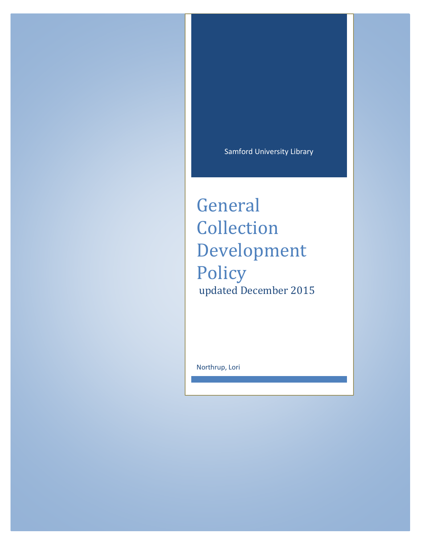Samford University Library

General Collection Development Policy updated December 2015

Northrup, Lori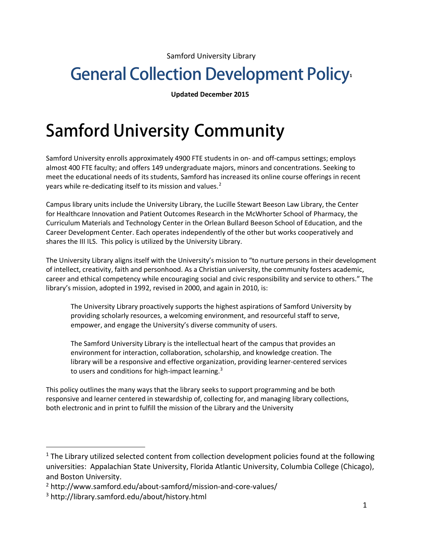Samford University Library

## **General Collection Development Policy**

**Updated December 2015**

## **Samford University Community**

Samford University enrolls approximately 4900 FTE students in on- and off-campus settings; employs almost 400 FTE faculty; and offers 149 undergraduate majors, minors and concentrations. Seeking to meet the educational needs of its students, Samford has increased its online course offerings in recent years while re-dedicating itself to its mission and values.<sup>[2](#page-1-1)</sup>

Campus library units include the University Library, the Lucille Stewart Beeson Law Library, the Center for Healthcare Innovation and Patient Outcomes Research in the McWhorter School of Pharmacy, the Curriculum Materials and Technology Center in the Orlean Bullard Beeson School of Education, and the Career Development Center. Each operates independently of the other but works cooperatively and shares the III ILS. This policy is utilized by the University Library.

The University Library aligns itself with the University's mission to "to nurture persons in their development of intellect, creativity, faith and personhood. As a Christian university, the community fosters academic, career and ethical competency while encouraging social and civic responsibility and service to others." The library's mission, adopted in 1992, revised in 2000, and again in 2010, is:

The University Library proactively supports the highest aspirations of Samford University by providing scholarly resources, a welcoming environment, and resourceful staff to serve, empower, and engage the University's diverse community of users.

The Samford University Library is the intellectual heart of the campus that provides an environment for interaction, collaboration, scholarship, and knowledge creation. The library will be a responsive and effective organization, providing learner-centered services to users and conditions for high-impact learning.<sup>3</sup>

This policy outlines the many ways that the library seeks to support programming and be both responsive and learner centered in stewardship of, collecting for, and managing library collections, both electronic and in print to fulfill the mission of the Library and the University

<span id="page-1-0"></span> $1$  The Library utilized selected content from collection development policies found at the following universities: Appalachian State University, Florida Atlantic University, Columbia College (Chicago), and Boston University.

<span id="page-1-1"></span><sup>2</sup> http://www.samford.edu/about-samford/mission-and-core-values/

<span id="page-1-2"></span><sup>3</sup> http://library.samford.edu/about/history.html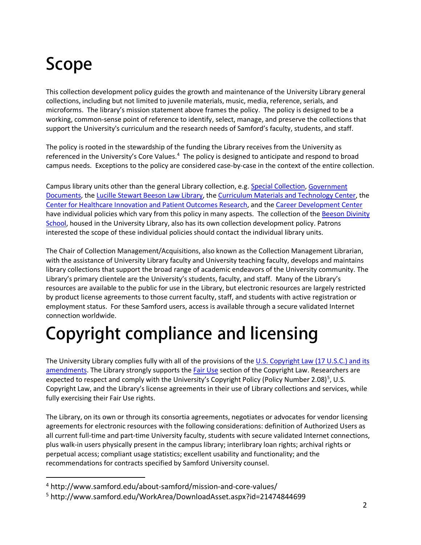# **Scope**

 $\overline{a}$ 

This collection development policy guides the growth and maintenance of the University Library general collections, including but not limited to juvenile materials, music, media, reference, serials, and microforms. The library's mission statement above frames the policy. The policy is designed to be a working, common-sense point of reference to identify, select, manage, and preserve the collections that support the University's curriculum and the research needs of Samford's faculty, students, and staff.

The policy is rooted in the stewardship of the funding the Library receives from the University as referenced in the University's Core Values.<sup>[4](#page-2-0)</sup> The policy is designed to anticipate and respond to broad campus needs. Exceptions to the policy are considered case-by-case in the context of the entire collection.

Campus library units other than the general Library collection, e.g. [Special Collection,](http://library.samford.edu/about/special.html) [Government](http://library.samford.edu/about/govdocs/gdmenu.html)  [Documents,](http://library.samford.edu/about/govdocs/gdmenu.html) the [Lucille Stewart Beeson Law Library,](http://lawlib.samford.edu/) th[e Curriculum Materials and Technology Center,](http://www.samford.edu/education/cmtc.aspx) the [Center for Healthcare Innovation and Patient Outcomes Research,](http://samford.libguides.com/pharmacy) and the [Career Development Center](http://www.samford.edu/careerdevelopment/) have individual policies which vary from this policy in many aspects. The collection of the Beeson Divinity [School,](http://www.beesondivinity.com/library) housed in the University Library, also has its own collection development policy. Patrons interested the scope of these individual policies should contact the individual library units.

The Chair of Collection Management/Acquisitions, also known as the Collection Management Librarian, with the assistance of University Library faculty and University teaching faculty, develops and maintains library collections that support the broad range of academic endeavors of the University community. The Library's primary clientele are the University's students, faculty, and staff. Many of the Library's resources are available to the public for use in the Library, but electronic resources are largely restricted by product license agreements to those current faculty, staff, and students with active registration or employment status. For these Samford users, access is available through a secure validated Internet connection worldwide.

# **Copyright compliance and licensing**

The University Library complies fully with all of the provisions of the U.S. Copyright Law (17 U.S.C.) and its amendments. The Library strongly supports the Fair Use section of the Copyright Law. Researchers are expected to respect and comply with the University's Copyright Policy (Policy Number 2.08)<sup>[5](#page-2-1)</sup>, U.S. Copyright Law, and the Library's license agreements in their use of Library collections and services, while fully exercising their Fair Use rights.

The Library, on its own or through its consortia agreements, negotiates or advocates for vendor licensing agreements for electronic resources with the following considerations: definition of Authorized Users as all current full-time and part-time University faculty, students with secure validated Internet connections, plus walk-in users physically present in the campus library; interlibrary loan rights; archival rights or perpetual access; compliant usage statistics; excellent usability and functionality; and the recommendations for contracts specified by Samford University counsel.

<span id="page-2-0"></span><sup>4</sup> http://www.samford.edu/about-samford/mission-and-core-values/

<span id="page-2-1"></span><sup>5</sup> http://www.samford.edu/WorkArea/DownloadAsset.aspx?id=21474844699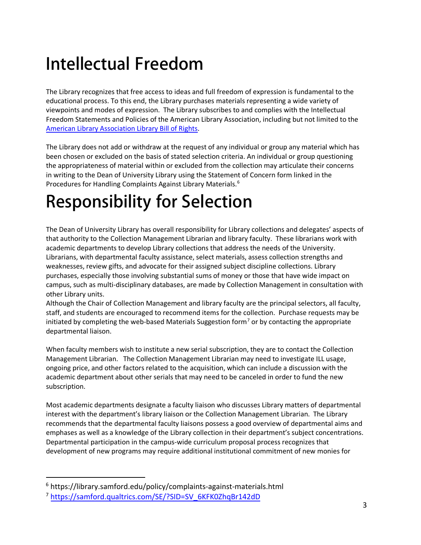## **Intellectual Freedom**

The Library recognizes that free access to ideas and full freedom of expression is fundamental to the educational process. To this end, the Library purchases materials representing a wide variety of viewpoints and modes of expression. The Library subscribes to and complies with the Intellectual Freedom Statements and Policies of the American Library Association, including but not limited to the American Library Association Library Bill of Rights.

The Library does not add or withdraw at the request of any individual or group any material which has been chosen or excluded on the basis of stated selection criteria. An individual or group questioning the appropriateness of material within or excluded from the collection may articulate their concerns in writing to the Dean of University Library using the Statement of Concern form linked in the Procedures for Handling Complaints Against Library Materials.<sup>[6](#page-3-0)</sup>

# **Responsibility for Selection**

The Dean of University Library has overall responsibility for Library collections and delegates' aspects of that authority to the Collection Management Librarian and library faculty. These librarians work with academic departments to develop Library collections that address the needs of the University. Librarians, with departmental faculty assistance, select materials, assess collection strengths and weaknesses, review gifts, and advocate for their assigned subject discipline collections. Library purchases, especially those involving substantial sums of money or those that have wide impact on campus, such as multi-disciplinary databases, are made by Collection Management in consultation with other Library units.

Although the Chair of Collection Management and library faculty are the principal selectors, all faculty, staff, and students are encouraged to recommend items for the collection. Purchase requests may be initiated by completing the web-based Materials Suggestion form<sup>[7](#page-3-1)</sup> or by contacting the appropriate departmental liaison.

When faculty members wish to institute a new serial subscription, they are to contact the Collection Management Librarian. The Collection Management Librarian may need to investigate ILL usage, ongoing price, and other factors related to the acquisition, which can include a discussion with the academic department about other serials that may need to be canceled in order to fund the new subscription.

Most academic departments designate a faculty liaison who discusses Library matters of departmental interest with the department's library liaison or the Collection Management Librarian. The Library recommends that the departmental faculty liaisons possess a good overview of departmental aims and emphases as well as a knowledge of the Library collection in their department's subject concentrations. Departmental participation in the campus-wide curriculum proposal process recognizes that development of new programs may require additional institutional commitment of new monies for

<span id="page-3-1"></span><span id="page-3-0"></span><sup>6</sup> <https://library.samford.edu/policy/complaints-against-materials.html>

<sup>&</sup>lt;sup>7</sup> [https://samford.qualtrics.com/SE/?SID=SV\\_6KFK0ZhqBr142dD](https://samford.qualtrics.com/SE/?SID=SV_6KFK0ZhqBr142dD)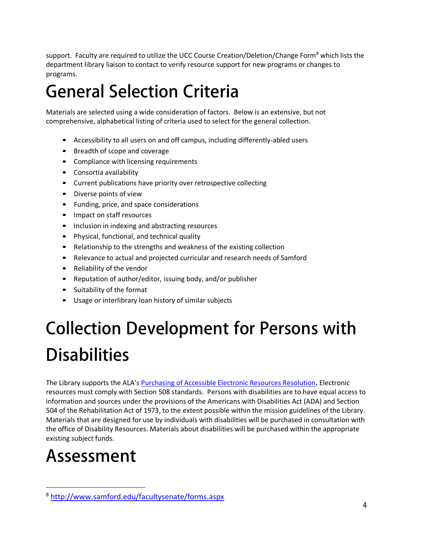support. Faculty are required to utilize the UCC Course Creation/Deletion/Change Form<sup>[8](#page-4-0)</sup> which lists the department library liaison to contact to verify resource support for new programs or changes to programs.

## **General Selection Criteria**

Materials are selected using a wide consideration of factors. Below is an extensive, but not comprehensive, alphabetical listing of criteria used to select for the general collection.

- Accessibility to all users on and off campus, including differently-abled users
- Breadth of scope and coverage
- Compliance with licensing requirements
- Consortia availability
- Current publications have priority over retrospective collecting
- Diverse points of view
- Funding, price, and space considerations
- Impact on staff resources
- Inclusion in indexing and abstracting resources
- Physical, functional, and technical quality
- Relationship to the strengths and weakness of the existing collection
- Relevance to actual and projected curricular and research needs of Samford
- Reliability of the vendor
- Reputation of author/editor, issuing body, and/or publisher
- Suitability of the format
- Usage or interlibrary loan history of similar subjects

# **Collection Development for Persons with Disabilities**

The Library supports the ALA's Purchasing of Accessible Electronic Resources Resolution**.** Electronic resources must comply with Section 508 standards. Persons with disabilities are to have equal access to information and sources under the provisions of the Americans with Disabilities Act (ADA) and Section 504 of the Rehabilitation Act of 1973, to the extent possible within the mission guidelines of the Library. Materials that are designed for use by individuals with disabilities will be purchased in consultation with the office of Disability Resources. Materials about disabilities will be purchased within the appropriate existing subject funds.

## **Assessment**

<span id="page-4-0"></span><sup>8</sup> <http://www.samford.edu/facultysenate/forms.aspx>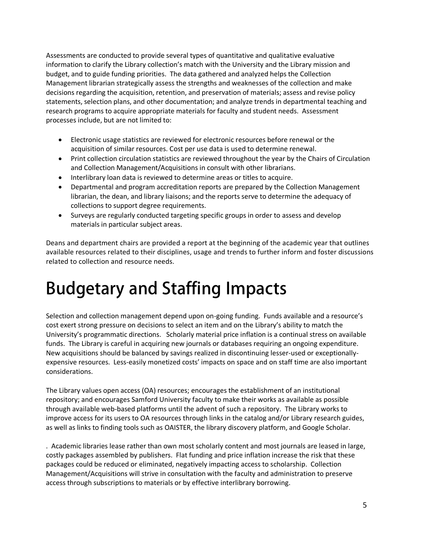Assessments are conducted to provide several types of quantitative and qualitative evaluative information to clarify the Library collection's match with the University and the Library mission and budget, and to guide funding priorities. The data gathered and analyzed helps the Collection Management librarian strategically assess the strengths and weaknesses of the collection and make decisions regarding the acquisition, retention, and preservation of materials; assess and revise policy statements, selection plans, and other documentation; and analyze trends in departmental teaching and research programs to acquire appropriate materials for faculty and student needs. Assessment processes include, but are not limited to:

- Electronic usage statistics are reviewed for electronic resources before renewal or the acquisition of similar resources. Cost per use data is used to determine renewal.
- Print collection circulation statistics are reviewed throughout the year by the Chairs of Circulation and Collection Management/Acquisitions in consult with other librarians.
- Interlibrary loan data is reviewed to determine areas or titles to acquire.
- Departmental and program accreditation reports are prepared by the Collection Management librarian, the dean, and library liaisons; and the reports serve to determine the adequacy of collections to support degree requirements.
- Surveys are regularly conducted targeting specific groups in order to assess and develop materials in particular subject areas.

Deans and department chairs are provided a report at the beginning of the academic year that outlines available resources related to their disciplines, usage and trends to further inform and foster discussions related to collection and resource needs.

## **Budgetary and Staffing Impacts**

Selection and collection management depend upon on-going funding. Funds available and a resource's cost exert strong pressure on decisions to select an item and on the Library's ability to match the University's programmatic directions. Scholarly material price inflation is a continual stress on available funds. The Library is careful in acquiring new journals or databases requiring an ongoing expenditure. New acquisitions should be balanced by savings realized in discontinuing lesser-used or exceptionallyexpensive resources. Less-easily monetized costs' impacts on space and on staff time are also important considerations.

The Library values open access (OA) resources; encourages the establishment of an institutional repository; and encourages Samford University faculty to make their works as available as possible through available web-based platforms until the advent of such a repository. The Library works to improve access for its users to OA resources through links in the catalog and/or Library research guides, as well as links to finding tools such as OAISTER, the library discovery platform, and Google Scholar.

. Academic libraries lease rather than own most scholarly content and most journals are leased in large, costly packages assembled by publishers. Flat funding and price inflation increase the risk that these packages could be reduced or eliminated, negatively impacting access to scholarship. Collection Management/Acquisitions will strive in consultation with the faculty and administration to preserve access through subscriptions to materials or by effective interlibrary borrowing.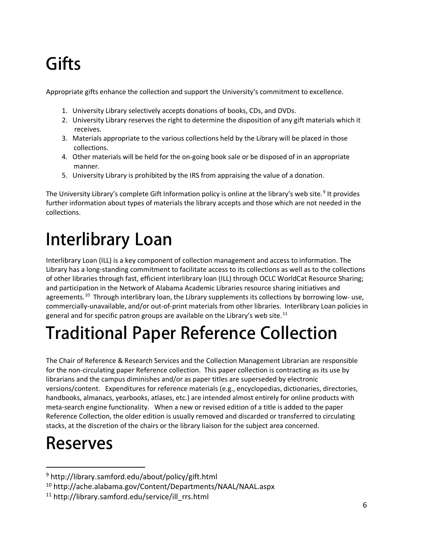# **Gifts**

Appropriate gifts enhance the collection and support the University's commitment to excellence.

- 1. University Library selectively accepts donations of books, CDs, and DVDs.
- 2. University Library reserves the right to determine the disposition of any gift materials which it receives.
- 3. Materials appropriate to the various collections held by the Library will be placed in those collections.
- 4. Other materials will be held for the on-going book sale or be disposed of in an appropriate manner.
- 5. University Library is prohibited by the IRS from appraising the value of a donation.

The University Library's complete Gift Information policy is online at the library's web site.<sup>[9](#page-6-0)</sup> It provides further information about types of materials the library accepts and those which are not needed in the collections.

## **Interlibrary Loan**

Interlibrary Loan (ILL) is a key component of collection management and access to information. The Library has a long-standing commitment to facilitate access to its collections as well as to the collections of other libraries through fast, efficient interlibrary loan (ILL) through OCLC WorldCat Resource Sharing; and participation in the Network of Alabama Academic Libraries resource sharing initiatives and agreements.<sup>10</sup> Through interlibrary loan, the Library supplements its collections by borrowing low- use, commercially-unavailable, and/or out-of-print materials from other libraries. Interlibrary Loan policies in general and for specific patron groups are available on the Library's web site.<sup>[11](#page-7-0)</sup>

## **Traditional Paper Reference Collection**

The Chair of Reference & Research Services and the Collection Management Librarian are responsible for the non-circulating paper Reference collection. This paper collection is contracting as its use by librarians and the campus diminishes and/or as paper titles are superseded by electronic versions/content. Expenditures for reference materials (e.g., encyclopedias, dictionaries, directories, handbooks, almanacs, yearbooks, atlases, etc.) are intended almost entirely for online products with meta-search engine functionality. When a new or revised edition of a title is added to the paper Reference Collection, the older edition is usually removed and discarded or transferred to circulating stacks, at the discretion of the chairs or the library liaison for the subject area concerned.

## **Reserves**

<sup>9</sup> http://library.samford.edu/about/policy/gift.html

<span id="page-6-0"></span><sup>10</sup> http://ache.alabama.gov/Content/Departments/NAAL/NAAL.aspx

<span id="page-6-1"></span><sup>&</sup>lt;sup>11</sup> http://library.samford.edu/service/ill\_rrs.html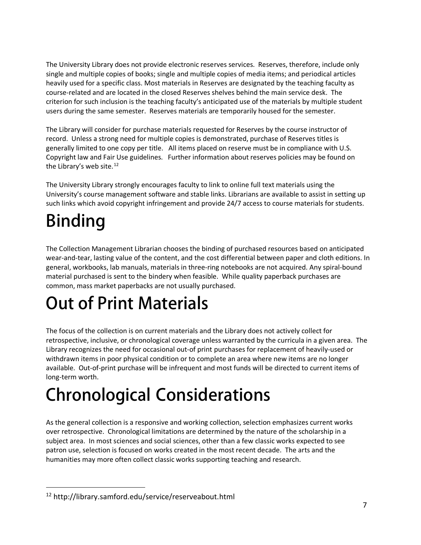The University Library does not provide electronic reserves services. Reserves, therefore, include only single and multiple copies of books; single and multiple copies of media items; and periodical articles heavily used for a specific class. Most materials in Reserves are designated by the teaching faculty as course-related and are located in the closed Reserves shelves behind the main service desk. The criterion for such inclusion is the teaching faculty's anticipated use of the materials by multiple student users during the same semester. Reserves materials are temporarily housed for the semester.

The Library will consider for purchase materials requested for Reserves by the course instructor of record. Unless a strong need for multiple copies is demonstrated, purchase of Reserves titles is generally limited to one copy per title. All items placed on reserve must be in compliance with U.S. Copyright law and Fair Use guidelines. Further information about reserves policies may be found on the Library's web site.<sup>[12](#page-7-1)</sup>

The University Library strongly encourages faculty to link to online full text materials using the University's course management software and stable links. Librarians are available to assist in setting up such links which avoid copyright infringement and provide 24/7 access to course materials for students.

# **Binding**

 $\overline{a}$ 

The Collection Management Librarian chooses the binding of purchased resources based on anticipated wear-and-tear, lasting value of the content, and the cost differential between paper and cloth editions. In general, workbooks, lab manuals, materials in three-ring notebooks are not acquired. Any spiral-bound material purchased is sent to the bindery when feasible. While quality paperback purchases are common, mass market paperbacks are not usually purchased.

## **Out of Print Materials**

The focus of the collection is on current materials and the Library does not actively collect for retrospective, inclusive, or chronological coverage unless warranted by the curricula in a given area. The Library recognizes the need for occasional out-of print purchases for replacement of heavily-used or withdrawn items in poor physical condition or to complete an area where new items are no longer available. Out-of-print purchase will be infrequent and most funds will be directed to current items of long-term worth.

# **Chronological Considerations**

As the general collection is a responsive and working collection, selection emphasizes current works over retrospective. Chronological limitations are determined by the nature of the scholarship in a subject area. In most sciences and social sciences, other than a few classic works expected to see patron use, selection is focused on works created in the most recent decade. The arts and the humanities may more often collect classic works supporting teaching and research.

<span id="page-7-1"></span><span id="page-7-0"></span><sup>12</sup> http://library.samford.edu/service/reserveabout.html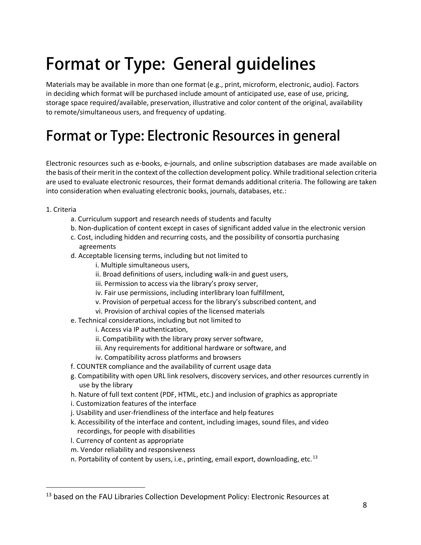## **Format or Type: General guidelines**

Materials may be available in more than one format (e.g., print, microform, electronic, audio). Factors in deciding which format will be purchased include amount of anticipated use, ease of use, pricing, storage space required/available, preservation, illustrative and color content of the original, availability to remote/simultaneous users, and frequency of updating.

## **Format or Type: Electronic Resources in general**

Electronic resources such as e-books, e-journals, and online subscription databases are made available on the basis of their merit in the context of the collection development policy. While traditional selection criteria are used to evaluate electronic resources, their format demands additional criteria. The following are taken into consideration when evaluating electronic books, journals, databases, etc.:

1. Criteria

- a. Curriculum support and research needs of students and faculty
- b. Non-duplication of content except in cases of significant added value in the electronic version
- c. Cost, including hidden and recurring costs, and the possibility of consortia purchasing agreements
- d. Acceptable licensing terms, including but not limited to
	- i. Multiple simultaneous users,
	- ii. Broad definitions of users, including walk-in and guest users,
	- iii. Permission to access via the library's proxy server,
	- iv. Fair use permissions, including interlibrary loan fulfillment,
	- v. Provision of perpetual access for the library's subscribed content, and
	- vi. Provision of archival copies of the licensed materials
- e. Technical considerations, including but not limited to
	- i. Access via IP authentication,
	- ii. Compatibility with the library proxy server software,
	- iii. Any requirements for additional hardware or software, and
	- iv. Compatibility across platforms and browsers
- f. COUNTER compliance and the availability of current usage data
- g. Compatibility with open URL link resolvers, discovery services, and other resources currently in use by the library
- h. Nature of full text content (PDF, HTML, etc.) and inclusion of graphics as appropriate
- i. Customization features of the interface
- j. Usability and user-friendliness of the interface and help features
- k. Accessibility of the interface and content, including images, sound files, and video recordings, for people with disabilities
- l. Currency of content as appropriate
- m. Vendor reliability and responsiveness
- n. Portability of content by users, i.e., printing, email export, downloading, etc.<sup>[13](#page-9-0)</sup>

<sup>&</sup>lt;sup>13</sup> based on the FAU Libraries Collection Development Policy: Electronic Resources at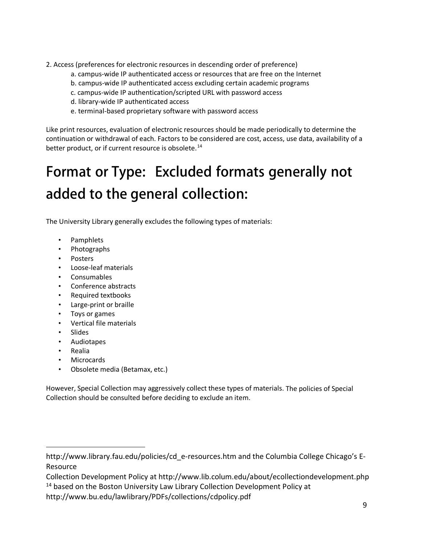- 2. Access (preferences for electronic resources in descending order of preference)
	- a. campus-wide IP authenticated access or resources that are free on the Internet
	- b. campus-wide IP authenticated access excluding certain academic programs
	- c. campus-wide IP authentication/scripted URL with password access
	- d. library-wide IP authenticated access
	- e. terminal-based proprietary software with password access

Like print resources, evaluation of electronic resources should be made periodically to determine the continuation or withdrawal of each. Factors to be considered are cost, access, use data, availability of a better product, or if current resource is obsolete.<sup>[14](#page-9-1)</sup>

## **Format or Type: Excluded formats generally not added to the general collection:**

The University Library generally excludes the following types of materials:

- Pamphlets
- Photographs
- Posters
- Loose-leaf materials
- Consumables
- Conference abstracts
- Required textbooks
- Large-print or braille
- Toys or games
- Vertical file materials
- Slides
- Audiotapes
- Realia

<span id="page-9-0"></span> $\overline{a}$ 

- **Microcards**
- Obsolete media (Betamax, etc.)

However, Special Collection may aggressively collect these types of materials. The policies of Special Collection should be consulted before deciding to exclude an item.

http://www.library.fau.edu/policies/cd\_e-resources.htm and the Columbia College Chicago's E-Resource

<span id="page-9-1"></span>Collection Development Policy at http://www.lib.colum.edu/about/ecollectiondevelopment.php <sup>14</sup> based on the Boston University Law Library Collection Development Policy at

http://www.bu.edu/lawlibrary/PDFs/collections/cdpolicy.pdf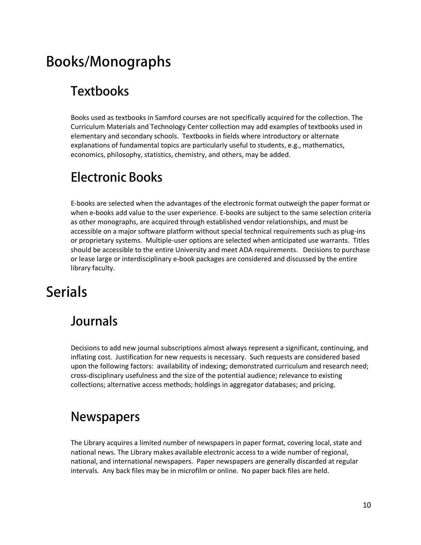### **Books/Monographs**

#### **Textbooks**

Books used as textbooks in Samford courses are not specifically acquired for the collection. The Curriculum Materials and Technology Center collection may add examples of textbooks used in elementary and secondary schools. Textbooks in fields where introductory or alternate explanations of fundamental topics are particularly useful to students, e.g., mathematics, economics, philosophy, statistics, chemistry, and others, may be added.

#### **Electronic Books**

E-books are selected when the advantages of the electronic format outweigh the paper format or when e-books add value to the user experience. E-books are subject to the same selection criteria as other monographs, are acquired through established vendor relationships, and must be accessible on a major software platform without special technical requirements such as plug-ins or proprietary systems. Multiple-user options are selected when anticipated use warrants. Titles should be accessible to the entire University and meet ADA requirements. Decisions to purchase or lease large or interdisciplinary e-book packages are considered and discussed by the entire library faculty.

#### **Serials**

#### **Journals**

Decisions to add new journal subscriptions almost always represent a significant, continuing, and inflating cost. Justification for new requests is necessary. Such requests are considered based upon the following factors: availability of indexing; demonstrated curriculum and research need; cross-disciplinary usefulness and the size of the potential audience; relevance to existing collections; alternative access methods; holdings in aggregator databases; and pricing.

#### **Newspapers**

The Library acquires a limited number of newspapers in paper format, covering local, state and national news. The Library makes available electronic access to a wide number of regional, national, and international newspapers. Paper newspapers are generally discarded at regular intervals. Any back files may be in microfilm or online. No paper back files are held.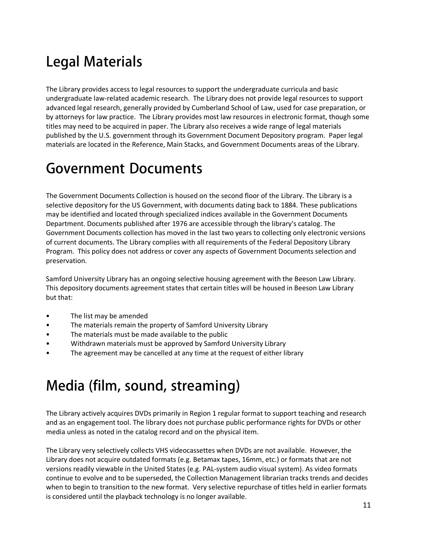## **Legal Materials**

The Library provides access to legal resources to support the undergraduate curricula and basic undergraduate law-related academic research. The Library does not provide legal resources to support advanced legal research, generally provided by Cumberland School of Law, used for case preparation, or by attorneys for law practice. The Library provides most law resources in electronic format, though some titles may need to be acquired in paper. The Library also receives a wide range of legal materials published by the U.S. government through its Government Document Depository program. Paper legal materials are located in the Reference, Main Stacks, and Government Documents areas of the Library.

#### **Government Documents**

The Government Documents Collection is housed on the second floor of the Library. The Library is a selective depository for the US Government, with documents dating back to 1884. These publications may be identified and located through specialized indices available in the Government Documents Department. Documents published after 1976 are accessible through the library's catalog. The Government Documents collection has moved in the last two years to collecting only electronic versions of current documents. The Library complies with all requirements of the Federal Depository Library Program. This policy does not address or cover any aspects of Government Documents selection and preservation.

Samford University Library has an ongoing selective housing agreement with the Beeson Law Library. This depository documents agreement states that certain titles will be housed in Beeson Law Library but that:

- The list may be amended
- The materials remain the property of Samford University Library
- The materials must be made available to the public
- Withdrawn materials must be approved by Samford University Library
- The agreement may be cancelled at any time at the request of either library

### **Media (film, sound, streaming)**

The Library actively acquires DVDs primarily in Region 1 regular format to support teaching and research and as an engagement tool. The library does not purchase public performance rights for DVDs or other media unless as noted in the catalog record and on the physical item.

The Library very selectively collects VHS videocassettes when DVDs are not available. However, the Library does not acquire outdated formats (e.g. Betamax tapes, 16mm, etc.) or formats that are not versions readily viewable in the United States (e.g. PAL-system audio visual system). As video formats continue to evolve and to be superseded, the Collection Management librarian tracks trends and decides when to begin to transition to the new format. Very selective repurchase of titles held in earlier formats is considered until the playback technology is no longer available.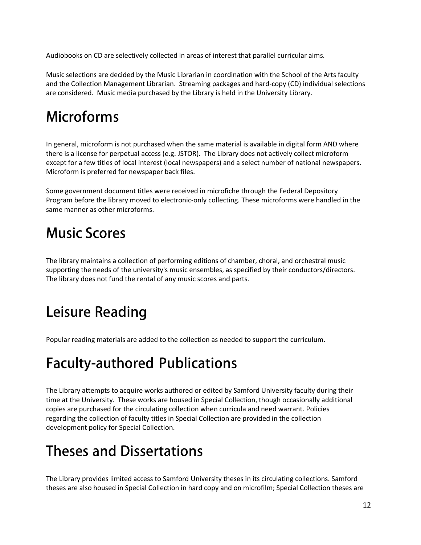Audiobooks on CD are selectively collected in areas of interest that parallel curricular aims.

Music selections are decided by the Music Librarian in coordination with the School of the Arts faculty and the Collection Management Librarian. Streaming packages and hard-copy (CD) individual selections are considered. Music media purchased by the Library is held in the University Library.

### **Microforms**

In general, microform is not purchased when the same material is available in digital form AND where there is a license for perpetual access (e.g. JSTOR). The Library does not actively collect microform except for a few titles of local interest (local newspapers) and a select number of national newspapers. Microform is preferred for newspaper back files.

Some government document titles were received in microfiche through the Federal Depository Program before the library moved to electronic-only collecting. These microforms were handled in the same manner as other microforms.

#### **Music Scores**

The library maintains a collection of performing editions of chamber, choral, and orchestral music supporting the needs of the university's music ensembles, as specified by their conductors/directors. The library does not fund the rental of any music scores and parts.

### **Leisure Reading**

Popular reading materials are added to the collection as needed to support the curriculum.

## **Faculty-authored Publications**

The Library attempts to acquire works authored or edited by Samford University faculty during their time at the University. These works are housed in Special Collection, though occasionally additional copies are purchased for the circulating collection when curricula and need warrant. Policies regarding the collection of faculty titles in Special Collection are provided in the collection development policy for Special Collection.

### **Theses and Dissertations**

The Library provides limited access to Samford University theses in its circulating collections. Samford theses are also housed in Special Collection in hard copy and on microfilm; Special Collection theses are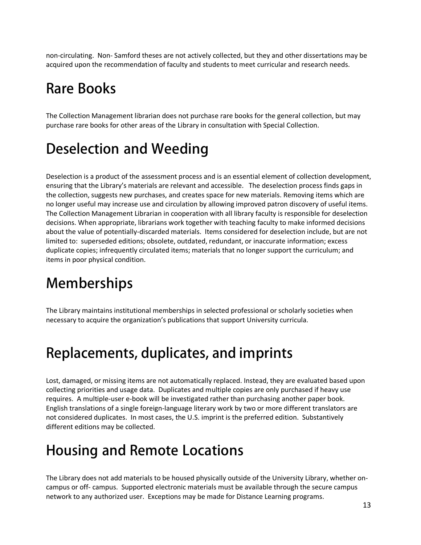non-circulating. Non- Samford theses are not actively collected, but they and other dissertations may be acquired upon the recommendation of faculty and students to meet curricular and research needs.

### **Rare Books**

The Collection Management librarian does not purchase rare books for the general collection, but may purchase rare books for other areas of the Library in consultation with Special Collection.

## **Deselection and Weeding**

Deselection is a product of the assessment process and is an essential element of collection development, ensuring that the Library's materials are relevant and accessible. The deselection process finds gaps in the collection, suggests new purchases, and creates space for new materials. Removing items which are no longer useful may increase use and circulation by allowing improved patron discovery of useful items. The Collection Management Librarian in cooperation with all library faculty is responsible for deselection decisions. When appropriate, librarians work together with teaching faculty to make informed decisions about the value of potentially-discarded materials. Items considered for deselection include, but are not limited to: superseded editions; obsolete, outdated, redundant, or inaccurate information; excess duplicate copies; infrequently circulated items; materials that no longer support the curriculum; and items in poor physical condition.

## **Memberships**

The Library maintains institutional memberships in selected professional or scholarly societies when necessary to acquire the organization's publications that support University curricula.

### **Replacements, duplicates, and imprints**

Lost, damaged, or missing items are not automatically replaced. Instead, they are evaluated based upon collecting priorities and usage data. Duplicates and multiple copies are only purchased if heavy use requires. A multiple-user e-book will be investigated rather than purchasing another paper book. English translations of a single foreign-language literary work by two or more different translators are not considered duplicates. In most cases, the U.S. imprint is the preferred edition. Substantively different editions may be collected.

### **Housing and Remote Locations**

The Library does not add materials to be housed physically outside of the University Library, whether oncampus or off- campus. Supported electronic materials must be available through the secure campus network to any authorized user. Exceptions may be made for Distance Learning programs.